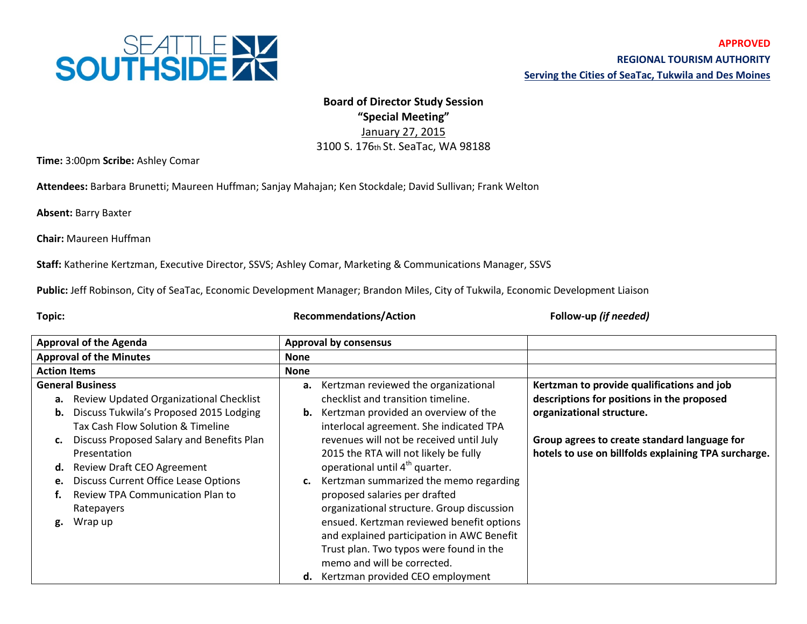

## **Board of Director Study Session "Special Meeting"** January 27, 2015 3100 S. 176th St. SeaTac, WA 98188

**Time:** 3:00pm **Scribe:** Ashley Comar

**Attendees:** Barbara Brunetti; Maureen Huffman; Sanjay Mahajan; Ken Stockdale; David Sullivan; Frank Welton

**Absent:** Barry Baxter

**Chair:** Maureen Huffman

**Staff:** Katherine Kertzman, Executive Director, SSVS; Ashley Comar, Marketing & Communications Manager, SSVS

**Public:** Jeff Robinson, City of SeaTac, Economic Development Manager; Brandon Miles, City of Tukwila, Economic Development Liaison

**Topic: Recommendations/Action Follow-up** *(if needed)*

| <b>Approval of the Agenda</b>  |                                             | <b>Approval by consensus</b> |                                            |                                                      |
|--------------------------------|---------------------------------------------|------------------------------|--------------------------------------------|------------------------------------------------------|
| <b>Approval of the Minutes</b> |                                             | <b>None</b>                  |                                            |                                                      |
| <b>Action Items</b>            |                                             | <b>None</b>                  |                                            |                                                      |
| <b>General Business</b>        |                                             |                              | a. Kertzman reviewed the organizational    | Kertzman to provide qualifications and job           |
|                                | a. Review Updated Organizational Checklist  |                              | checklist and transition timeline.         | descriptions for positions in the proposed           |
|                                | b. Discuss Tukwila's Proposed 2015 Lodging  | b.                           | Kertzman provided an overview of the       | organizational structure.                            |
|                                | Tax Cash Flow Solution & Timeline           |                              | interlocal agreement. She indicated TPA    |                                                      |
| c.                             | Discuss Proposed Salary and Benefits Plan   |                              | revenues will not be received until July   | Group agrees to create standard language for         |
|                                | Presentation                                |                              | 2015 the RTA will not likely be fully      | hotels to use on billfolds explaining TPA surcharge. |
| d.                             | <b>Review Draft CEO Agreement</b>           |                              | operational until 4 <sup>th</sup> quarter. |                                                      |
| e.                             | <b>Discuss Current Office Lease Options</b> | c.                           | Kertzman summarized the memo regarding     |                                                      |
|                                | Review TPA Communication Plan to            |                              | proposed salaries per drafted              |                                                      |
|                                | Ratepayers                                  |                              | organizational structure. Group discussion |                                                      |
| g.                             | Wrap up                                     |                              | ensued. Kertzman reviewed benefit options  |                                                      |
|                                |                                             |                              | and explained participation in AWC Benefit |                                                      |
|                                |                                             |                              | Trust plan. Two typos were found in the    |                                                      |
|                                |                                             |                              | memo and will be corrected.                |                                                      |
|                                |                                             |                              | d. Kertzman provided CEO employment        |                                                      |